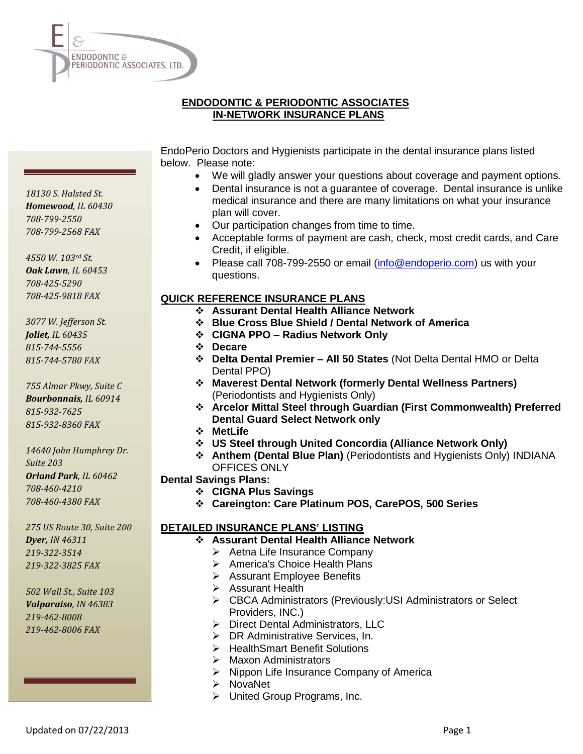

# **ENDODONTIC & PERIODONTIC ASSOCIATES IN-NETWORK INSURANCE PLANS**

EndoPerio Doctors and Hygienists participate in the dental insurance plans listed below. Please note:

- We will gladly answer your questions about coverage and payment options.
- Dental insurance is not a guarantee of coverage. Dental insurance is unlike medical insurance and there are many limitations on what your insurance plan will cover.
- Our participation changes from time to time.
- Acceptable forms of payment are cash, check, most credit cards, and Care Credit, if eligible.
- Please call 708-799-2550 or email [\(info@endoperio.com\)](mailto:info@endoperio.com) us with your questions.

### **QUICK REFERENCE INSURANCE PLANS**

- **Assurant Dental Health Alliance Network**
- **Blue Cross Blue Shield / Dental Network of America**
- **CIGNA PPO – Radius Network Only**
- **Decare**
- **Delta Dental Premier – All 50 States** (Not Delta Dental HMO or Delta Dental PPO)
- **Maverest Dental Network (formerly Dental Wellness Partners)**  (Periodontists and Hygienists Only)
- **Arcelor Mittal Steel through Guardian (First Commonwealth) Preferred Dental Guard Select Network only**
- **MetLife**
- **US Steel through United Concordia (Alliance Network Only)**
- **Anthem (Dental Blue Plan)** (Periodontists and Hygienists Only) INDIANA OFFICES ONLY
- **Dental Savings Plans:**
	- **CIGNA Plus Savings**
	- **Careington: Care Platinum POS, CarePOS, 500 Series**

# **DETAILED INSURANCE PLANS' LISTING**

- **Assurant Dental Health Alliance Network** 
	- $\triangleright$  Aetna Life Insurance Company
	- > America's Choice Health Plans
	- Assurant Employee Benefits
	- $\triangleright$  Assurant Health
	- CBCA Administrators (Previously:USI Administrators or Select Providers, INC.)
	- > Direct Dental Administrators, LLC
	- ▶ DR Administrative Services, In.
	- **▶ HealthSmart Benefit Solutions**
	- > Maxon Administrators
	- $\triangleright$  Nippon Life Insurance Company of America
	- $\triangleright$  NovaNet
	- > United Group Programs, Inc.

*18130 S. Halsted St. Homewood, IL 60430 708-799-2550 708-799-2568 FAX*

*4550 W. 103rd St. Oak Lawn, IL 60453 708-425-5290 708-425-9818 FAX*

*3077 W. Jefferson St. Joliet, IL 60435 815-744-5556 815-744-5780 FAX*

*755 Almar Pkwy, Suite C Bourbonnais, IL 60914 815-932-7625 815-932-8360 FAX*

*14640 John Humphrey Dr. Suite 203 Orland Park, IL 60462 708-460-4210 708-460-4380 FAX*

*275 US Route 30, Suite 200 Dyer, IN 46311 219-322-3514 219-322-3825 FAX*

*502 Wall St., Suite 103 Valparaiso, IN 46383 219-462-8008 219-462-8006 FAX*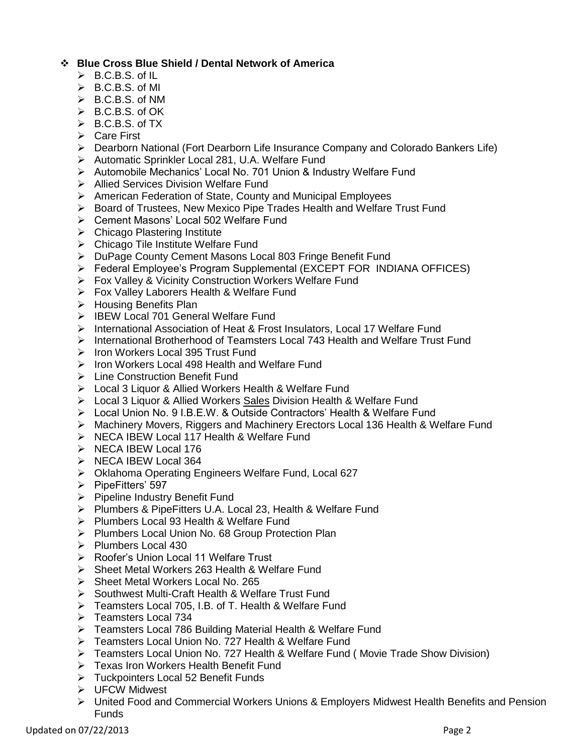# **Blue Cross Blue Shield / Dental Network of America**

- $\triangleright$  B.C.B.S. of IL
- $\triangleright$  B.C.B.S. of MI
- $\triangleright$  B.C.B.S. of NM
- B.C.B.S. of OK
- $\triangleright$  B.C.B.S. of TX
- **►** Care First
- Dearborn National (Fort Dearborn Life Insurance Company and Colorado Bankers Life)
- > Automatic Sprinkler Local 281, U.A. Welfare Fund
- Automobile Mechanics' Local No. 701 Union & Industry Welfare Fund
- **▶ Allied Services Division Welfare Fund**
- American Federation of State, County and Municipal Employees
- $\triangleright$  Board of Trustees, New Mexico Pipe Trades Health and Welfare Trust Fund
- ▶ Cement Masons' Local 502 Welfare Fund
- **►** Chicago Plastering Institute
- > Chicago Tile Institute Welfare Fund
- DuPage County Cement Masons Local 803 Fringe Benefit Fund
- Federal Employee's Program Supplemental (EXCEPT FOR INDIANA OFFICES)
- ▶ Fox Valley & Vicinity Construction Workers Welfare Fund
- **Fox Valley Laborers Health & Welfare Fund**
- $\triangleright$  Housing Benefits Plan
- > IBEW Local 701 General Welfare Fund
- > International Association of Heat & Frost Insulators, Local 17 Welfare Fund
- International Brotherhood of Teamsters Local 743 Health and Welfare Trust Fund
- $\triangleright$  Iron Workers Local 395 Trust Fund
- $\triangleright$  Iron Workers Local 498 Health and Welfare Fund
- > Line Construction Benefit Fund
- Local 3 Liquor & Allied Workers Health & Welfare Fund
- Local 3 Liquor & Allied Workers Sales Division Health & Welfare Fund
- Local Union No. 9 I.B.E.W. & Outside Contractors' Health & Welfare Fund
- Machinery Movers, Riggers and Machinery Erectors Local 136 Health & Welfare Fund
- $\triangleright$  NECA IBEW Local 117 Health & Welfare Fund
- $\triangleright$  NECA IBEW Local 176
- $\triangleright$  NECA IBEW Local 364
- ▶ Oklahoma Operating Engineers Welfare Fund, Local 627
- $\triangleright$  PipeFitters' 597
- $\triangleright$  Pipeline Industry Benefit Fund
- Plumbers & PipeFitters U.A. Local 23, Health & Welfare Fund
- Plumbers Local 93 Health & Welfare Fund
- Plumbers Local Union No. 68 Group Protection Plan
- $\triangleright$  Plumbers Local 430
- ▶ Roofer's Union Local 11 Welfare Trust
- ▶ Sheet Metal Workers 263 Health & Welfare Fund
- Sheet Metal Workers Local No. 265
- ▶ Southwest Multi-Craft Health & Welfare Trust Fund
- F Teamsters Local 705, I.B. of T. Health & Welfare Fund
- Teamsters Local 734
- Teamsters Local 786 Building Material Health & Welfare Fund
- Teamsters Local Union No. 727 Health & Welfare Fund
- Teamsters Local Union No. 727 Health & Welfare Fund ( Movie Trade Show Division)
- **F** Texas Iron Workers Health Benefit Fund
- **►** Tuckpointers Local 52 Benefit Funds
- **EXA** UFCW Midwest
- United Food and Commercial Workers Unions & Employers Midwest Health Benefits and Pension Funds